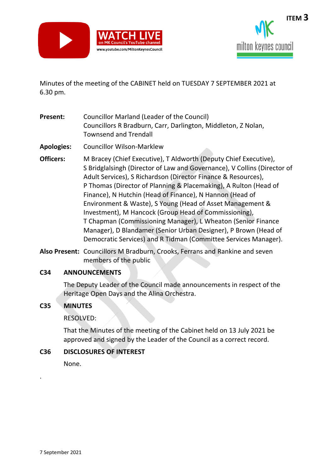



Minutes of the meeting of the CABINET held on TUESDAY 7 SEPTEMBER 2021 at 6.30 pm.

- **Present:** Councillor Marland (Leader of the Council) Councillors R Bradburn, Carr, Darlington, Middleton, Z Nolan, Townsend and Trendall
- **Apologies:** Councillor Wilson-Marklew
- **Officers:** M Bracey (Chief Executive), T Aldworth (Deputy Chief Executive), S Bridglalsingh (Director of Law and Governance), V Collins (Director of Adult Services), S Richardson (Director Finance & Resources), P Thomas (Director of Planning & Placemaking), A Rulton (Head of Finance), N Hutchin (Head of Finance), N Hannon (Head of Environment & Waste), S Young (Head of Asset Management & Investment), M Hancock (Group Head of Commissioning), T Chapman (Commissioning Manager), L Wheaton (Senior Finance Manager), D Blandamer (Senior Urban Designer), P Brown (Head of Democratic Services) and R Tidman (Committee Services Manager).
- **Also Present:** Councillors M Bradburn, Crooks, Ferrans and Rankine and seven members of the public

#### **C34 ANNOUNCEMENTS**

The Deputy Leader of the Council made announcements in respect of the Heritage Open Days and the Alina Orchestra.

## **C35 MINUTES**

RESOLVED:

That the Minutes of the meeting of the Cabinet held on 13 July 2021 be approved and signed by the Leader of the Council as a correct record.

## **C36 DISCLOSURES OF INTEREST**

None.

.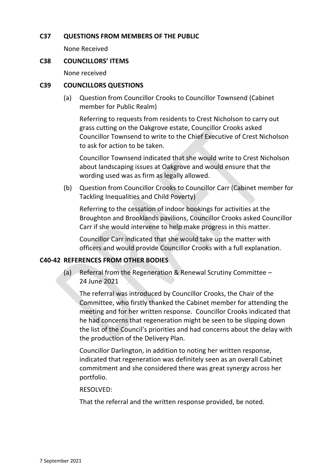### **C37 QUESTIONS FROM MEMBERS OF THE PUBLIC**

None Received

#### **C38 COUNCILLORS' ITEMS**

None received

### **C39 COUNCILLORS QUESTIONS**

(a) Question from Councillor Crooks to Councillor Townsend (Cabinet member for Public Realm)

Referring to requests from residents to Crest Nicholson to carry out grass cutting on the Oakgrove estate, Councillor Crooks asked Councillor Townsend to write to the Chief Executive of Crest Nicholson to ask for action to be taken.

Councillor Townsend indicated that she would write to Crest Nicholson about landscaping issues at Oakgrove and would ensure that the wording used was as firm as legally allowed.

(b) Question from Councillor Crooks to Councillor Carr (Cabinet member for Tackling Inequalities and Child Poverty)

Referring to the cessation of indoor bookings for activities at the Broughton and Brooklands pavilions, Councillor Crooks asked Councillor Carr if she would intervene to help make progress in this matter.

Councillor Carr indicated that she would take up the matter with officers and would provide Councillor Crooks with a full explanation.

#### **C40-42 REFERENCES FROM OTHER BODIES**

(a) Referral from the Regeneration & Renewal Scrutiny Committee – 24 June 2021

The referral was introduced by Councillor Crooks, the Chair of the Committee, who firstly thanked the Cabinet member for attending the meeting and for her written response. Councillor Crooks indicated that he had concerns that regeneration might be seen to be slipping down the list of the Council's priorities and had concerns about the delay with the production of the Delivery Plan.

Councillor Darlington, in addition to noting her written response, indicated that regeneration was definitely seen as an overall Cabinet commitment and she considered there was great synergy across her portfolio.

#### RESOLVED:

That the referral and the written response provided, be noted.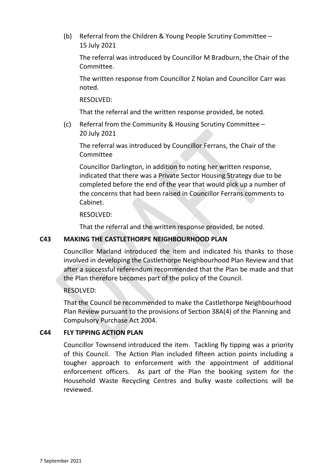(b) Referral from the Children & Young People Scrutiny Committee – 15 July 2021

The referral was introduced by Councillor M Bradburn, the Chair of the Committee.

The written response from Councillor Z Nolan and Councillor Carr was noted.

RESOLVED:

That the referral and the written response provided, be noted.

(c) Referral from the Community & Housing Scrutiny Committee – 20 July 2021

The referral was introduced by Councillor Ferrans, the Chair of the Committee

Councillor Darlington, in addition to noting her written response, indicated that there was a Private Sector Housing Strategy due to be completed before the end of the year that would pick up a number of the concerns that had been raised in Councillor Ferrans comments to Cabinet.

RESOLVED:

That the referral and the written response provided, be noted.

### **C43 MAKING THE CASTLETHORPE NEIGHBOURHOOD PLAN**

Councillor Marland introduced the item and indicated his thanks to those involved in developing the Castlethorpe Neighbourhood Plan Review and that after a successful referendum recommended that the Plan be made and that the Plan therefore becomes part of the policy of the Council.

#### RESOLVED:

That the Council be recommended to make the Castlethorpe Neighbourhood Plan Review pursuant to the provisions of Section 38A(4) of the Planning and Compulsory Purchase Act 2004.

#### **C44 FLY TIPPING ACTION PLAN**

Councillor Townsend introduced the item. Tackling fly tipping was a priority of this Council. The Action Plan included fifteen action points including a tougher approach to enforcement with the appointment of additional enforcement officers. As part of the Plan the booking system for the Household Waste Recycling Centres and bulky waste collections will be reviewed.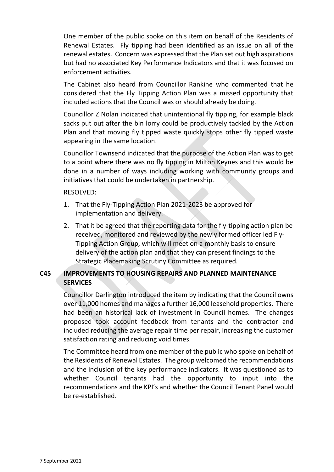One member of the public spoke on this item on behalf of the Residents of Renewal Estates. Fly tipping had been identified as an issue on all of the renewal estates. Concern was expressed that the Plan set out high aspirations but had no associated Key Performance Indicators and that it was focused on enforcement activities.

The Cabinet also heard from Councillor Rankine who commented that he considered that the Fly Tipping Action Plan was a missed opportunity that included actions that the Council was or should already be doing.

Councillor Z Nolan indicated that unintentional fly tipping, for example black sacks put out after the bin lorry could be productively tackled by the Action Plan and that moving fly tipped waste quickly stops other fly tipped waste appearing in the same location.

Councillor Townsend indicated that the purpose of the Action Plan was to get to a point where there was no fly tipping in Milton Keynes and this would be done in a number of ways including working with community groups and initiatives that could be undertaken in partnership.

#### RESOLVED:

- 1. That the Fly-Tipping Action Plan 2021-2023 be approved for implementation and delivery.
- 2. That it be agreed that the reporting data for the fly-tipping action plan be received, monitored and reviewed by the newly formed officer led Fly-Tipping Action Group, which will meet on a monthly basis to ensure delivery of the action plan and that they can present findings to the Strategic Placemaking Scrutiny Committee as required.

# **C45 IMPROVEMENTS TO HOUSING REPAIRS AND PLANNED MAINTENANCE SERVICES**

Councillor Darlington introduced the item by indicating that the Council owns over 11,000 homes and manages a further 16,000 leasehold properties. There had been an historical lack of investment in Council homes. The changes proposed took account feedback from tenants and the contractor and included reducing the average repair time per repair, increasing the customer satisfaction rating and reducing void times.

The Committee heard from one member of the public who spoke on behalf of the Residents of Renewal Estates. The group welcomed the recommendations and the inclusion of the key performance indicators. It was questioned as to whether Council tenants had the opportunity to input into the recommendations and the KPI's and whether the Council Tenant Panel would be re-established.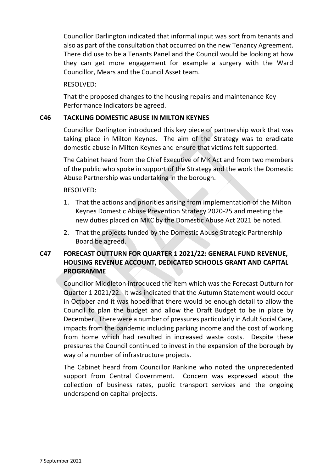Councillor Darlington indicated that informal input was sort from tenants and also as part of the consultation that occurred on the new Tenancy Agreement. There did use to be a Tenants Panel and the Council would be looking at how they can get more engagement for example a surgery with the Ward Councillor, Mears and the Council Asset team.

RESOLVED:

That the proposed changes to the housing repairs and maintenance Key Performance Indicators be agreed.

## **C46 TACKLING DOMESTIC ABUSE IN MILTON KEYNES**

Councillor Darlington introduced this key piece of partnership work that was taking place in Milton Keynes. The aim of the Strategy was to eradicate domestic abuse in Milton Keynes and ensure that victims felt supported.

The Cabinet heard from the Chief Executive of MK Act and from two members of the public who spoke in support of the Strategy and the work the Domestic Abuse Partnership was undertaking in the borough.

RESOLVED:

- 1. That the actions and priorities arising from implementation of the Milton Keynes Domestic Abuse Prevention Strategy 2020-25 and meeting the new duties placed on MKC by the Domestic Abuse Act 2021 be noted.
- 2. That the projects funded by the Domestic Abuse Strategic Partnership Board be agreed.

# **C47 FORECAST OUTTURN FOR QUARTER 1 2021/22: GENERAL FUND REVENUE, HOUSING REVENUE ACCOUNT, DEDICATED SCHOOLS GRANT AND CAPITAL PROGRAMME**

Councillor Middleton introduced the item which was the Forecast Outturn for Quarter 1 2021/22. It was indicated that the Autumn Statement would occur in October and it was hoped that there would be enough detail to allow the Council to plan the budget and allow the Draft Budget to be in place by December. There were a number of pressures particularly in Adult Social Care, impacts from the pandemic including parking income and the cost of working from home which had resulted in increased waste costs. Despite these pressures the Council continued to invest in the expansion of the borough by way of a number of infrastructure projects.

The Cabinet heard from Councillor Rankine who noted the unprecedented support from Central Government. Concern was expressed about the collection of business rates, public transport services and the ongoing underspend on capital projects.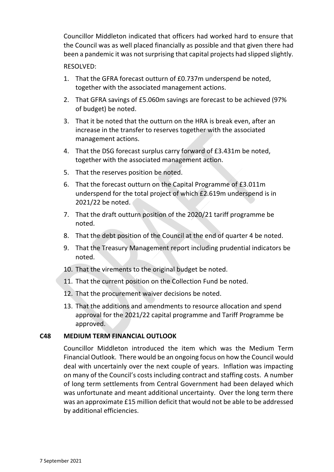Councillor Middleton indicated that officers had worked hard to ensure that the Council was as well placed financially as possible and that given there had been a pandemic it was not surprising that capital projects had slipped slightly.

#### RESOLVED:

- 1. That the GFRA forecast outturn of £0.737m underspend be noted, together with the associated management actions.
- 2. That GFRA savings of £5.060m savings are forecast to be achieved (97% of budget) be noted.
- 3. That it be noted that the outturn on the HRA is break even, after an increase in the transfer to reserves together with the associated management actions.
- 4. That the DSG forecast surplus carry forward of £3.431m be noted, together with the associated management action.
- 5. That the reserves position be noted.
- 6. That the forecast outturn on the Capital Programme of £3.011m underspend for the total project of which £2.619m underspend is in 2021/22 be noted.
- 7. That the draft outturn position of the 2020/21 tariff programme be noted.
- 8. That the debt position of the Council at the end of quarter 4 be noted.
- 9. That the Treasury Management report including prudential indicators be noted.
- 10. That the virements to the original budget be noted.
- 11. That the current position on the Collection Fund be noted.
- 12. That the procurement waiver decisions be noted.
- 13. That the additions and amendments to resource allocation and spend approval for the 2021/22 capital programme and Tariff Programme be approved.

#### **C48 MEDIUM TERM FINANCIAL OUTLOOK**

Councillor Middleton introduced the item which was the Medium Term Financial Outlook. There would be an ongoing focus on how the Council would deal with uncertainly over the next couple of years. Inflation was impacting on many of the Council's costs including contract and staffing costs. A number of long term settlements from Central Government had been delayed which was unfortunate and meant additional uncertainty. Over the long term there was an approximate £15 million deficit that would not be able to be addressed by additional efficiencies.